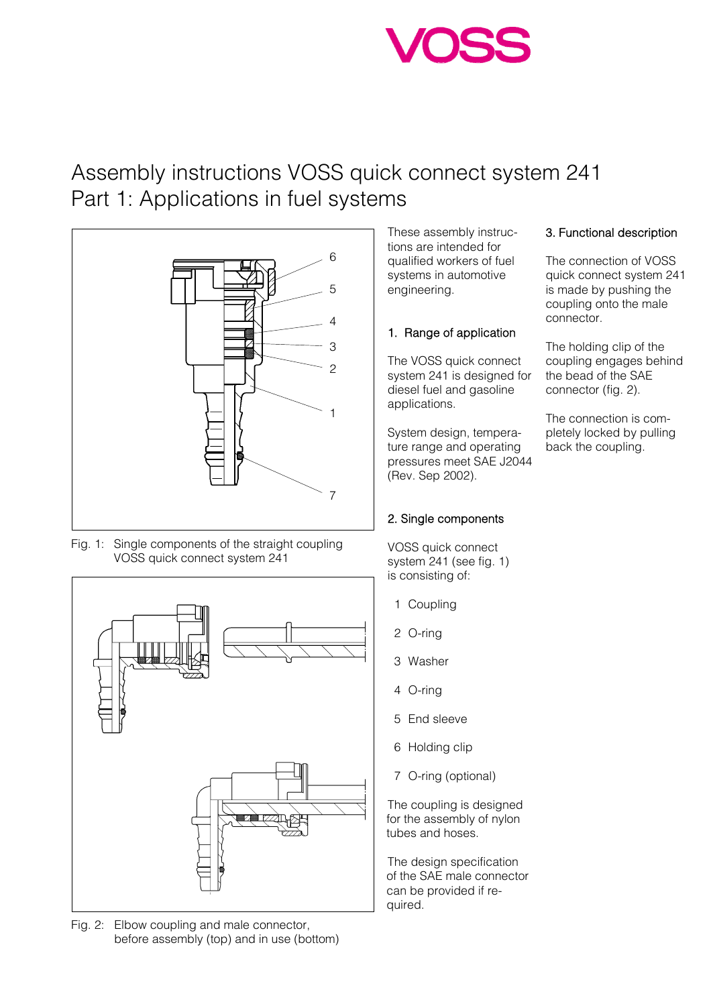# Assembly instructions VOSS quick connect system 241 Part 1: Applications in fuel systems



Fig. 1: Single components of the straight coupling VOSS quick connect system 241



Fig. 2: Elbow coupling and male connector, before assembly (top) and in use (bottom)

These assembly instructions are intended for qualified workers of fuel systems in automotive engineering.

### 1. Range of application

The VOSS quick connect system 241 is designed for diesel fuel and gasoline applications.

System design, temperature range and operating pressures meet SAE J2044 (Rev. Sep 2002).

## 2. Single components

VOSS quick connect system 241 (see fig. 1) is consisting of:

- 1 Coupling
- 2 O-ring
- 3 Washer
- 4 O-ring
- 5 End sleeve
- 6 Holding clip
- 7 O-ring (optional)

The coupling is designed for the assembly of nylon tubes and hoses.

The design specification of the SAE male connector can be provided if required.

## 3. Functional description

The connection of VOSS quick connect system 241 is made by pushing the coupling onto the male connector.

The holding clip of the coupling engages behind the bead of the SAE connector (fig. 2).

The connection is completely locked by pulling back the coupling.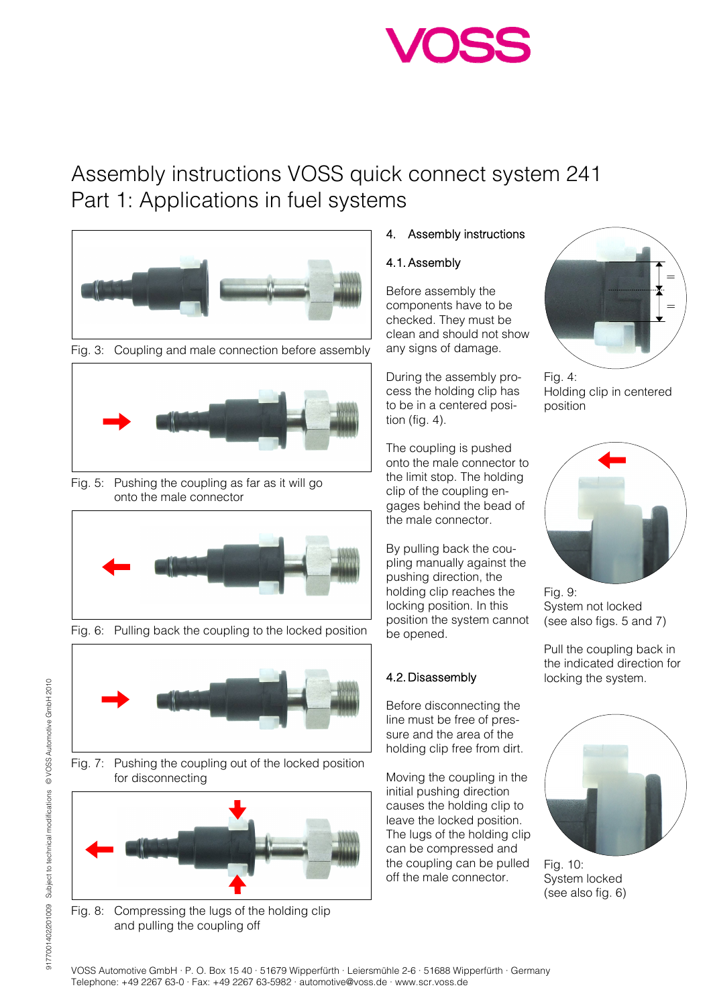# Assembly instructions VOSS quick connect system 241 Part 1: Applications in fuel systems



Fig. 3: Coupling and male connection before assembly



Fig. 5: Pushing the coupling as far as it will go onto the male connector



Fig. 6: Pulling back the coupling to the locked position



Fig. 7: Pushing the coupling out of the locked position for disconnecting



Fig. 8: Compressing the lugs of the holding clip and pulling the coupling off

## 4. Assembly instructions

### 4.1. Assembly

Before assembly the components have to be checked. They must be clean and should not show any signs of damage.

During the assembly process the holding clip has to be in a centered position (fig. 4).

The coupling is pushed onto the male connector to the limit stop. The holding clip of the coupling engages behind the bead of the male connector.

By pulling back the coupling manually against the pushing direction, the holding clip reaches the locking position. In this position the system cannot be opened.

## 4.2. Disassembly

Before disconnecting the line must be free of pressure and the area of the holding clip free from dirt.

Moving the coupling in the initial pushing direction causes the holding clip to leave the locked position. The lugs of the holding clip can be compressed and the coupling can be pulled off the male connector.



Fig. 4: Holding clip in centered position



Fig. 9: System not locked (see also figs. 5 and 7)

Pull the coupling back in the indicated direction for locking the system.



Fig. 10: System locked (see also fig. 6)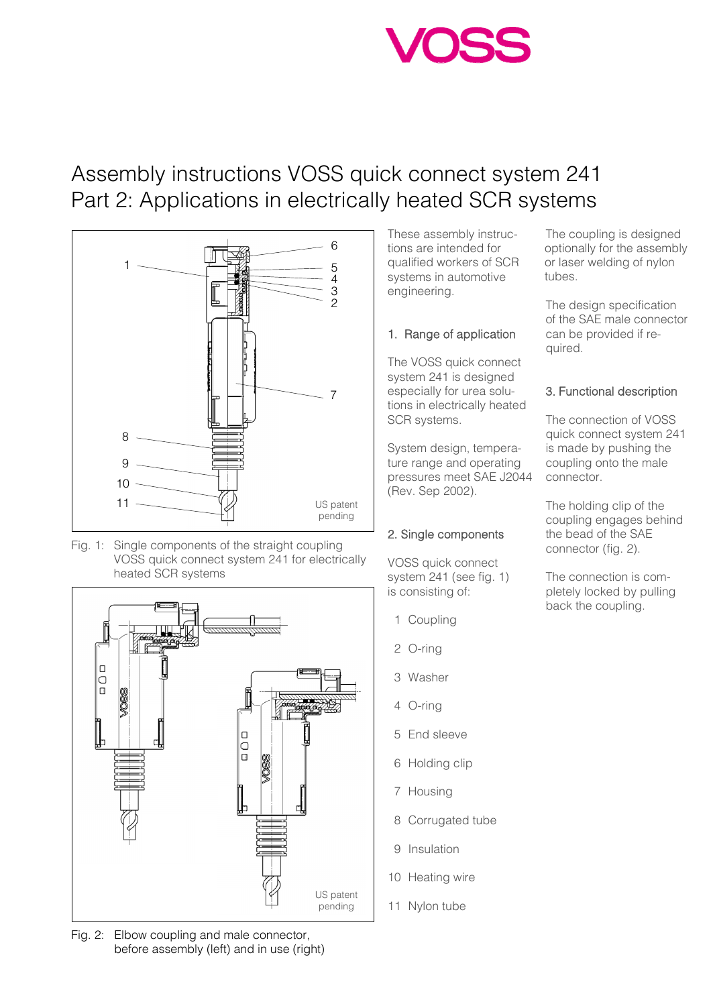# Assembly instructions VOSS quick connect system 241 Part 2: Applications in electrically heated SCR systems



Fig. 1: Single components of the straight coupling VOSS quick connect system 241 for electrically heated SCR systems



Fig. 2: Elbow coupling and male connector, before assembly (left) and in use (right) These assembly instructions are intended for qualified workers of SCR systems in automotive engineering.

### 1. Range of application

The VOSS quick connect system 241 is designed especially for urea solutions in electrically heated SCR systems.

System design, temperature range and operating pressures meet SAE J2044 (Rev. Sep 2002).

## 2. Single components

VOSS quick connect system 241 (see fig. 1) is consisting of:

- 1 Coupling
- 2 O-ring
- 3 Washer
- 4 O-ring
- 5 End sleeve
- 6 Holding clip
- 7 Housing
- 8 Corrugated tube
- 9 Insulation
- 10 Heating wire
- 11 Nylon tube

The coupling is designed optionally for the assembly or laser welding of nylon tubes.

The design specification of the SAE male connector can be provided if required.

## 3. Functional description

The connection of VOSS quick connect system 241 is made by pushing the coupling onto the male connector.

The holding clip of the coupling engages behind the bead of the SAE connector (fig. 2).

The connection is completely locked by pulling back the coupling.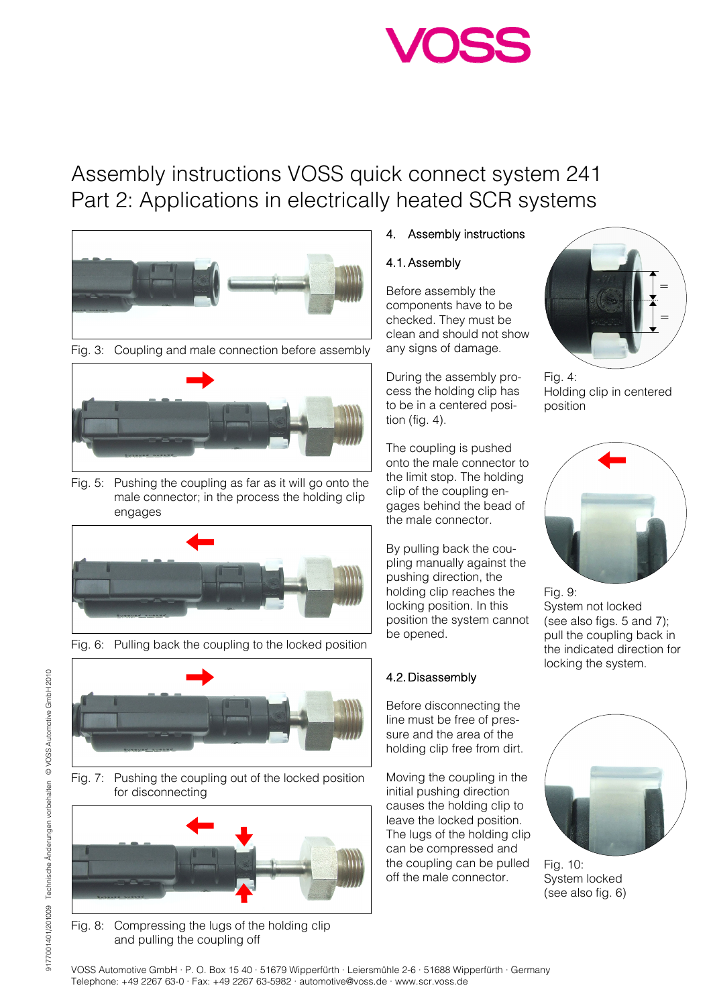# Assembly instructions VOSS quick connect system 241 Part 2: Applications in electrically heated SCR systems



Fig. 3: Coupling and male connection before assembly



Fig. 5: Pushing the coupling as far as it will go onto the male connector; in the process the holding clip engages



Fig. 6: Pulling back the coupling to the locked position



Fig. 7: Pushing the coupling out of the locked position for disconnecting



Fig. 8: Compressing the lugs of the holding clip and pulling the coupling off

## 4. Assembly instructions

### 4.1. Assembly

Before assembly the components have to be checked. They must be clean and should not show any signs of damage.

During the assembly process the holding clip has to be in a centered position (fig. 4).

The coupling is pushed onto the male connector to the limit stop. The holding clip of the coupling engages behind the bead of the male connector.

By pulling back the coupling manually against the pushing direction, the holding clip reaches the locking position. In this position the system cannot be opened.

## 4.2. Disassembly

Before disconnecting the line must be free of pressure and the area of the holding clip free from dirt.

Moving the coupling in the initial pushing direction causes the holding clip to leave the locked position. The lugs of the holding clip can be compressed and the coupling can be pulled off the male connector.



Fig. 4: Holding clip in centered position



Fig. 9: System not locked (see also figs. 5 and 7); pull the coupling back in the indicated direction for locking the system.



Fig. 10: System locked (see also fig. 6)

9177001401/201009 Technische Änderungen vorbehalten © VOSS Automotive GmbH 2010

9177001401/201009 Technische Änderungen vorbehalten © VOSS Automotive GmbH 2010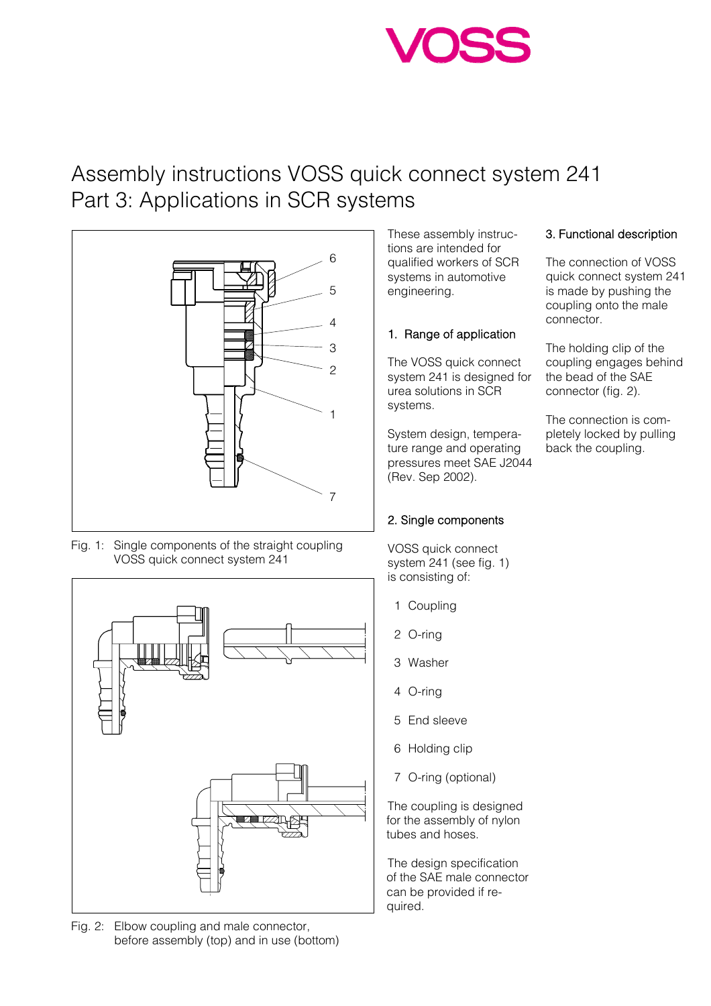# Assembly instructions VOSS quick connect system 241 Part 3: Applications in SCR systems



Fig. 1: Single components of the straight coupling VOSS quick connect system 241



Fig. 2: Elbow coupling and male connector, before assembly (top) and in use (bottom) These assembly instructions are intended for qualified workers of SCR systems in automotive engineering.

### 1. Range of application

The VOSS quick connect system 241 is designed for urea solutions in SCR systems.

System design, temperature range and operating pressures meet SAE J2044 (Rev. Sep 2002).

## 2. Single components

VOSS quick connect system 241 (see fig. 1) is consisting of:

- 1 Coupling
- 2 O-ring
- 3 Washer
- 4 O-ring
- 5 End sleeve
- 6 Holding clip
- 7 O-ring (optional)

The coupling is designed for the assembly of nylon tubes and hoses.

The design specification of the SAE male connector can be provided if required.

## 3. Functional description

The connection of VOSS quick connect system 241 is made by pushing the coupling onto the male connector.

The holding clip of the coupling engages behind the bead of the SAE connector (fig. 2).

The connection is completely locked by pulling back the coupling.